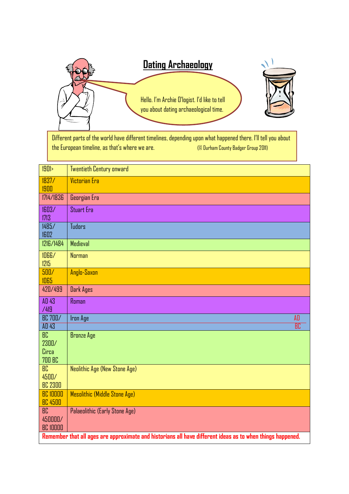

Different parts of the world have different timelines, depending upon what happened there. I'll tell you about the European timeline, as that's where we are. (© Durham County Badger Group 2011)

| 1901>                                                                                                      | <b>Twentieth Century onward</b> |  |  |  |
|------------------------------------------------------------------------------------------------------------|---------------------------------|--|--|--|
| 1837/                                                                                                      | <b>Victorian Era</b>            |  |  |  |
| 1900<br>1714/1836                                                                                          | Georgian Era                    |  |  |  |
|                                                                                                            |                                 |  |  |  |
| 1603/<br>1713                                                                                              | <b>Stuart Era</b>               |  |  |  |
| 1485/<br>1602                                                                                              | <b>Tudors</b>                   |  |  |  |
| 1216/1484                                                                                                  | Medieval                        |  |  |  |
| 1066/<br>1215                                                                                              | <b>Norman</b>                   |  |  |  |
| 500/<br>1065                                                                                               | Anglo-Saxon                     |  |  |  |
| 420/499                                                                                                    | Dark Ages                       |  |  |  |
| AD 43<br>/419                                                                                              | Roman                           |  |  |  |
| <b>BC 700/</b>                                                                                             | AD<br><b>Iron Age</b>           |  |  |  |
| AD43                                                                                                       | $\overline{\text{BC}}$          |  |  |  |
| BC.                                                                                                        | <b>Bronze Age</b>               |  |  |  |
| 2300/                                                                                                      |                                 |  |  |  |
| Circa                                                                                                      |                                 |  |  |  |
| <b>700 BC</b>                                                                                              |                                 |  |  |  |
| $\overline{BC}$                                                                                            | Neolithic Age (New Stone Age)   |  |  |  |
| 4500/                                                                                                      |                                 |  |  |  |
| <b>BC 2300</b>                                                                                             |                                 |  |  |  |
| <b>BC 10000</b>                                                                                            | Mesolithic (Middle Stone Age)   |  |  |  |
| <b>BC 4500</b>                                                                                             |                                 |  |  |  |
| BC                                                                                                         | Palaeolithic (Early Stone Age)  |  |  |  |
| 450000/                                                                                                    |                                 |  |  |  |
| <b>BC 10000</b>                                                                                            |                                 |  |  |  |
| Remember that all ages are approximate and historians all have different ideas as to when things happened. |                                 |  |  |  |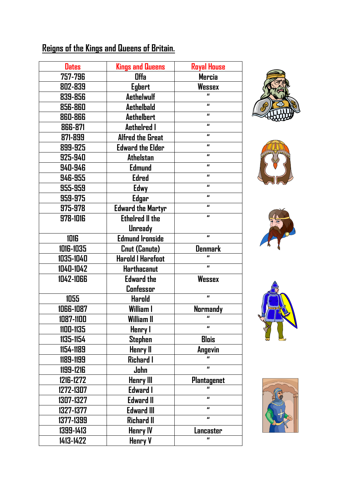## **Reigns of the Kings and Queens of Britain.**

| <b>Dates</b> | <b>Kings and Queens</b>  | <b>Royal House</b>           |
|--------------|--------------------------|------------------------------|
| 757-796      | <b>Offa</b>              | <b>Mercia</b>                |
| 802-839      | <b>Egbert</b>            | <b>Wessex</b>                |
| 839-856      | <b>Aethelwulf</b>        | П                            |
| 856-860      | <b>Aethelbald</b>        | $\qquad \qquad \blacksquare$ |
| 860-866      | <b>Aethelbert</b>        | $\mathbf{u}$                 |
| 866-871      | <b>Aethelred I</b>       | $\mathbf{u}$                 |
| 871-899      | <b>Alfred the Great</b>  | $\mathbf{u}$                 |
| 899-925      | <b>Edward the Elder</b>  | $\qquad \qquad \blacksquare$ |
| 925-940      | <b>Athelstan</b>         | $\mathbf{u}$                 |
| 940-946      | <b>Edmund</b>            | $\mathbf{u}$                 |
| 946-955      | <b>Edred</b>             | $\mathbf{u}$                 |
| 955-959      | Edwy                     | $\mathbf{u}$                 |
| 959-975      | Edgar                    | $\mathbf{u}$                 |
| 975-978      | <b>Edward the Martyr</b> | $\mathbf{u}$                 |
| 978-1016     | <b>Ethelred II the</b>   | $\mathbf{u}$                 |
|              | <b>Unready</b>           |                              |
| 1016         | <b>Edmund Ironside</b>   | $\mathbf{u}$                 |
| 1016-1035    | Cnut (Canute)            | <b>Denmark</b>               |
| 1035-1040    | <b>Harold I Harefoot</b> | $\mathbf{u}$                 |
| 1040-1042    | Harthacanut              | $\mathbf{u}$                 |
| 1042-1066    | <b>Edward the</b>        | <b>Wessex</b>                |
|              | Confessor                |                              |
| 1055         | <b>Harold</b>            | $\mathbf{u}$                 |
| 1066-1087    | William I                | <b>Normandy</b>              |
| 1087-1100    | William II               | $\mathbf{u}$                 |
| 1100-1135    | Henry I                  | п                            |
| 1135-1154    | <b>Stephen</b>           | <b>Blois</b>                 |
| 1154-1189    | Henry II                 | Angevin                      |
| 1189-1199    | Richard I                |                              |
| 1199-1216    | John                     | $\mathbf{u}$                 |
| 1216-1272    | <b>Henry III</b>         | <b>Plantagenet</b>           |
| 1272-1307    | Edward I                 | $\mathbf{u}$                 |
| 1307-1327    | <b>Edward II</b>         | $\mathbf{u}$                 |
| 1327-1377    | <b>Edward III</b>        | $\mathbf{u}$                 |
| 1377-1399    | Richard II               | $\qquad \qquad \blacksquare$ |
| 1399-1413    | <b>Henry IV</b>          | Lancaster                    |
| 1413-1422    | Henry V                  | П                            |